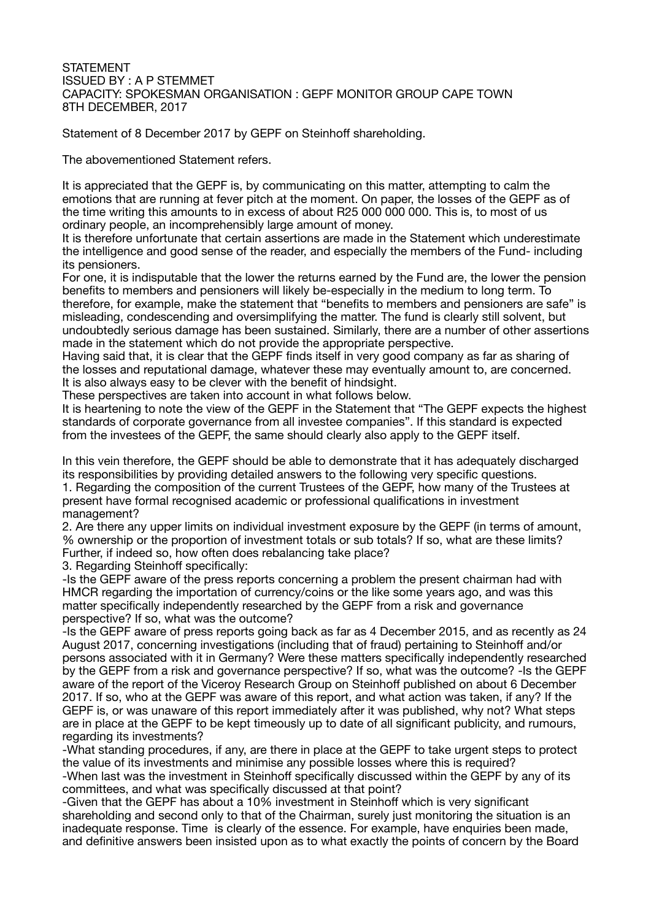## STATEMENT ISSUED BY : A P STEMMET CAPACITY: SPOKESMAN ORGANISATION : GEPF MONITOR GROUP CAPE TOWN 8TH DECEMBER, 2017

Statement of 8 December 2017 by GEPF on Steinhoff shareholding.

The abovementioned Statement refers.

It is appreciated that the GEPF is, by communicating on this matter, attempting to calm the emotions that are running at fever pitch at the moment. On paper, the losses of the GEPF as of the time writing this amounts to in excess of about R25 000 000 000. This is, to most of us ordinary people, an incomprehensibly large amount of money.

It is therefore unfortunate that certain assertions are made in the Statement which underestimate the intelligence and good sense of the reader, and especially the members of the Fund- including its pensioners.

For one, it is indisputable that the lower the returns earned by the Fund are, the lower the pension benefits to members and pensioners will likely be-especially in the medium to long term. To therefore, for example, make the statement that "benefits to members and pensioners are safe" is misleading, condescending and oversimplifying the matter. The fund is clearly still solvent, but undoubtedly serious damage has been sustained. Similarly, there are a number of other assertions made in the statement which do not provide the appropriate perspective.

Having said that, it is clear that the GEPF finds itself in very good company as far as sharing of the losses and reputational damage, whatever these may eventually amount to, are concerned. It is also always easy to be clever with the benefit of hindsight.

These perspectives are taken into account in what follows below.

It is heartening to note the view of the GEPF in the Statement that "The GEPF expects the highest standards of corporate governance from all investee companies". If this standard is expected from the investees of the GEPF, the same should clearly also apply to the GEPF itself.

In this vein therefore, the GEPF should be able to demonstrate that it has adequately discharged its responsibilities by providing detailed answers to the following very specific questions.

1. Regarding the composition of the current Trustees of the GEPF, how many of the Trustees at present have formal recognised academic or professional qualifications in investment management?

2. Are there any upper limits on individual investment exposure by the GEPF (in terms of amount, % ownership or the proportion of investment totals or sub totals? If so, what are these limits? Further, if indeed so, how often does rebalancing take place?

3. Regarding Steinhoff specifically:

-Is the GEPF aware of the press reports concerning a problem the present chairman had with HMCR regarding the importation of currency/coins or the like some years ago, and was this matter specifically independently researched by the GEPF from a risk and governance perspective? If so, what was the outcome?

-Is the GEPF aware of press reports going back as far as 4 December 2015, and as recently as 24 August 2017, concerning investigations (including that of fraud) pertaining to Steinhoff and/or persons associated with it in Germany? Were these matters specifically independently researched by the GEPF from a risk and governance perspective? If so, what was the outcome? -Is the GEPF aware of the report of the Viceroy Research Group on Steinhoff published on about 6 December 2017. If so, who at the GEPF was aware of this report, and what action was taken, if any? If the GEPF is, or was unaware of this report immediately after it was published, why not? What steps are in place at the GEPF to be kept timeously up to date of all significant publicity, and rumours, regarding its investments?

-What standing procedures, if any, are there in place at the GEPF to take urgent steps to protect the value of its investments and minimise any possible losses where this is required? -When last was the investment in Steinhoff specifically discussed within the GEPF by any of its committees, and what was specifically discussed at that point?

-Given that the GEPF has about a 10% investment in Steinhoff which is very significant shareholding and second only to that of the Chairman, surely just monitoring the situation is an inadequate response. Time is clearly of the essence. For example, have enquiries been made, and definitive answers been insisted upon as to what exactly the points of concern by the Board